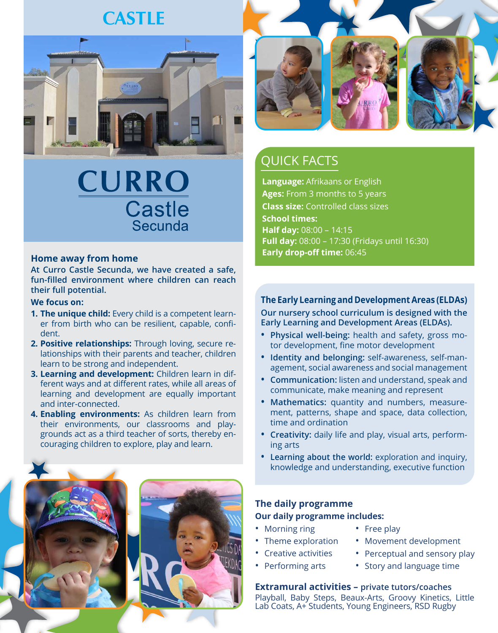## **CASTLE**



# CURRO **Castle** Secunda

### **Home away from home**

**At Curro Castle Secunda, we have created a safe, fun-filled environment where children can reach their full potential.**

#### **We focus on:**

- **1. The unique child:** Every child is a competent learner from birth who can be resilient, capable, confident.
- **2. Positive relationships:** Through loving, secure relationships with their parents and teacher, children learn to be strong and independent.
- **3. Learning and development:** Children learn in different ways and at different rates, while all areas of learning and development are equally important and inter-connected.
- **4. Enabling environments:** As children learn from their environments, our classrooms and playgrounds act as a third teacher of sorts, thereby encouraging children to explore, play and learn.





### QUICK FACTS

**Language:** Afrikaans or English **Ages:** From 3 months to 5 years **Class size:** Controlled class sizes **School times: Half day:** 08:00 – 14:15 **Full day:** 08:00 – 17:30 (Fridays until 16:30) **Early drop-off time:** 06:45

### **The Early Learning and Development Areas (ELDAs)**

**Our nursery school curriculum is designed with the Early Learning and Development Areas (ELDAs).**

- **• Physical well-being:** health and safety, gross motor development, fine motor development
- **• Identity and belonging:** self-awareness, self-management, social awareness and social management
- **• Communication:** listen and understand, speak and communicate, make meaning and represent
- **• Mathematics:** quantity and numbers, measurement, patterns, shape and space, data collection, time and ordination
- **• Creativity:** daily life and play, visual arts, performing arts
- **• Learning about the world:** exploration and inquiry, knowledge and understanding, executive function

### **The daily programme**

#### **Our daily programme includes:**

- Morning ring
- Free play
- Theme exploration
- Creative activities
- Performing arts
- Perceptual and sensory play
- Story and language time

### **Extramural activities – private tutors/coaches**

Playball, Baby Steps, Beaux-Arts, Groovy Kinetics, Little Lab Coats, A+ Students, Young Engineers, RSD Rugby

• Movement development